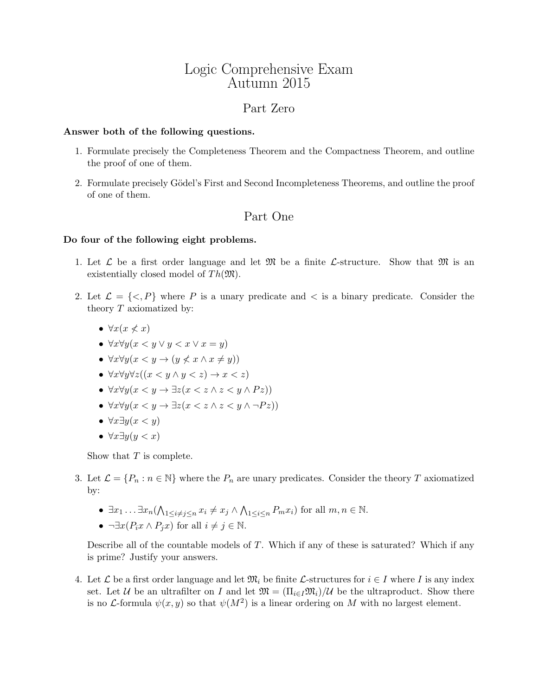# Logic Comprehensive Exam Autumn 2015

## Part Zero

### Answer both of the following questions.

- 1. Formulate precisely the Completeness Theorem and the Compactness Theorem, and outline the proof of one of them.
- 2. Formulate precisely Gödel's First and Second Incompleteness Theorems, and outline the proof of one of them.

### Part One

#### Do four of the following eight problems.

- 1. Let  $\mathcal L$  be a first order language and let  $\mathfrak M$  be a finite  $\mathcal L$ -structure. Show that  $\mathfrak M$  is an existentially closed model of  $Th(\mathfrak{M})$ .
- 2. Let  $\mathcal{L} = \{ \leq P \}$  where P is a unary predicate and  $\leq$  is a binary predicate. Consider the theory  $T$  axiomatized by:
	- $\forall x (x \nless x)$
	- $\forall x \forall y (x \leq y \vee y \leq x \vee x = y)$
	- $\forall x \forall y (x \leq y \rightarrow (y \not\leq x \land x \neq y))$
	- $\forall x \forall y \forall z ((x \leq y \land y \leq z) \rightarrow x \leq z)$
	- $\forall x \forall y (x \leq y \rightarrow \exists z (x \leq z \land z \leq y \land Pz))$
	- $\forall x \forall y (x \leq y \rightarrow \exists z (x \leq z \land z \leq y \land \neg P z))$
	- $\forall x \exists y (x \leq y)$
	- $\forall x \exists y (y < x)$

Show that T is complete.

- 3. Let  $\mathcal{L} = \{P_n : n \in \mathbb{N}\}\$  where the  $P_n$  are unary predicates. Consider the theory T axiomatized by:
	- $\exists x_1 \ldots \exists x_n (\bigwedge_{1 \leq i \neq j \leq n} x_i \neq x_j \wedge \bigwedge_{1 \leq i \leq n} P_m x_i)$  for all  $m, n \in \mathbb{N}$ .
	- $\neg \exists x (P_i x \land P_j x)$  for all  $i \neq j \in \mathbb{N}$ .

Describe all of the countable models of T. Which if any of these is saturated? Which if any is prime? Justify your answers.

4. Let  $\mathcal L$  be a first order language and let  $\mathfrak{M}_i$  be finite  $\mathcal L$ -structures for  $i \in I$  where I is any index set. Let U be an ultrafilter on I and let  $\mathfrak{M} = (\Pi_{i \in I} \mathfrak{M}_i)/U$  be the ultraproduct. Show there is no *L*-formula  $\psi(x, y)$  so that  $\psi(M^2)$  is a linear ordering on M with no largest element.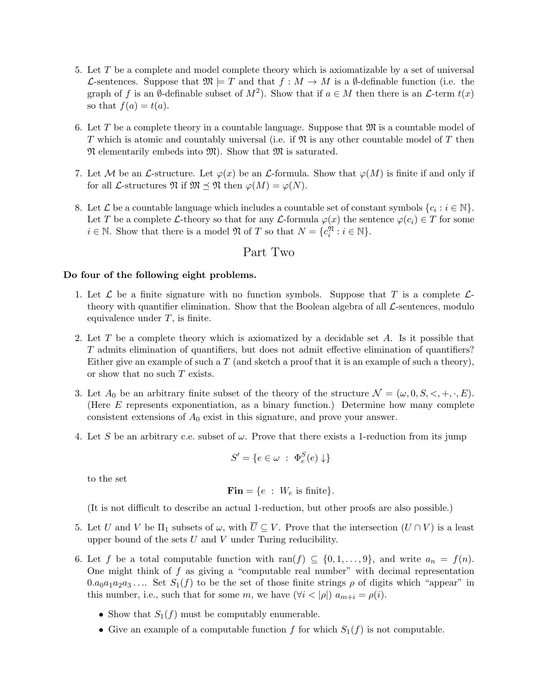- 5. Let T be a complete and model complete theory which is axiomatizable by a set of universal L-sentences. Suppose that  $\mathfrak{M} \models T$  and that  $f : M \to M$  is a  $\emptyset$ -definable function (i.e. the graph of f is an Ø-definable subset of  $M^2$ ). Show that if  $a \in M$  then there is an  $\mathcal{L}$ -term  $t(x)$ so that  $f(a) = t(a)$ .
- 6. Let T be a complete theory in a countable language. Suppose that  $\mathfrak{M}$  is a countable model of T which is atomic and countably universal (i.e. if  $\mathfrak{N}$  is any other countable model of T then  $\mathfrak N$  elementarily embeds into  $\mathfrak M$ ). Show that  $\mathfrak M$  is saturated.
- 7. Let M be an L-structure. Let  $\varphi(x)$  be an L-formula. Show that  $\varphi(M)$  is finite if and only if for all *L*-structures  $\mathfrak{N}$  if  $\mathfrak{M} \preceq \mathfrak{N}$  then  $\varphi(M) = \varphi(N)$ .
- 8. Let  $\mathcal L$  be a countable language which includes a countable set of constant symbols  $\{c_i : i \in \mathbb N\}$ . Let T be a complete L-theory so that for any L-formula  $\varphi(x)$  the sentence  $\varphi(c_i) \in T$  for some  $i \in \mathbb{N}$ . Show that there is a model  $\mathfrak{N}$  of T so that  $N = \{c_i^{\mathfrak{N}} : i \in \mathbb{N}\}.$

### Part Two

#### Do four of the following eight problems.

- 1. Let  $\mathcal L$  be a finite signature with no function symbols. Suppose that T is a complete  $\mathcal L$ theory with quantifier elimination. Show that the Boolean algebra of all  $\mathcal{L}$ -sentences, modulo equivalence under  $T$ , is finite.
- 2. Let T be a complete theory which is axiomatized by a decidable set A. Is it possible that T admits elimination of quantifiers, but does not admit effective elimination of quantifiers? Either give an example of such a  $T$  (and sketch a proof that it is an example of such a theory), or show that no such T exists.
- 3. Let  $A_0$  be an arbitrary finite subset of the theory of the structure  $\mathcal{N} = (\omega, 0, S, \langle , +, \cdot, E)$ . (Here E represents exponentiation, as a binary function.) Determine how many complete consistent extensions of  $A_0$  exist in this signature, and prove your answer.
- 4. Let S be an arbitrary c.e. subset of  $\omega$ . Prove that there exists a 1-reduction from its jump

$$
S' = \{ e \in \omega \; : \; \Phi_e^S(e) \downarrow \}
$$

to the set

$$
Fin = \{e : W_e \text{ is finite}\}.
$$

(It is not difficult to describe an actual 1-reduction, but other proofs are also possible.)

- 5. Let U and V be  $\Pi_1$  subsets of  $\omega$ , with  $\overline{U} \subset V$ . Prove that the intersection  $(U \cap V)$  is a least upper bound of the sets  $U$  and  $V$  under Turing reducibility.
- 6. Let f be a total computable function with ran(f)  $\subseteq \{0, 1, \ldots, 9\}$ , and write  $a_n = f(n)$ . One might think of  $f$  as giving a "computable real number" with decimal representation  $0.a_0a_1a_2a_3\dots$  Set  $S_1(f)$  to be the set of those finite strings  $\rho$  of digits which "appear" in this number, i.e., such that for some m, we have  $(\forall i < |\rho|) a_{m+i} = \rho(i)$ .
	- Show that  $S_1(f)$  must be computably enumerable.
	- Give an example of a computable function f for which  $S_1(f)$  is not computable.